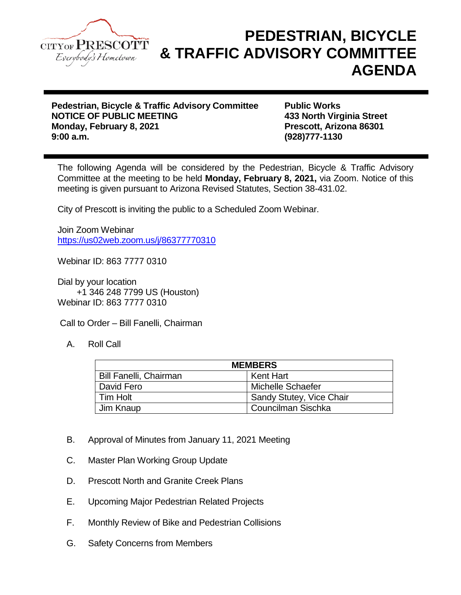

## **PEDESTRIAN, BICYCLE & TRAFFIC ADVISORY COMMITTEE AGENDA**

**Pedestrian, Bicycle & Traffic Advisory Committee Public Works NOTICE OF PUBLIC MEETING 433 North Virginia Street Monday, February 8, 2021 Prescott, Arizona 86301**

**9:00 a.m. (928)777-1130**

The following Agenda will be considered by the Pedestrian, Bicycle & Traffic Advisory Committee at the meeting to be held **Monday, February 8, 2021,** via Zoom. Notice of this meeting is given pursuant to Arizona Revised Statutes, Section 38-431.02.

City of Prescott is inviting the public to a Scheduled Zoom Webinar.

Join Zoom Webinar <https://us02web.zoom.us/j/86377770310>

Webinar ID: 863 7777 0310

Dial by your location +1 346 248 7799 US (Houston) Webinar ID: 863 7777 0310

Call to Order – Bill Fanelli, Chairman

A. Roll Call

| <b>MEMBERS</b>                |                          |
|-------------------------------|--------------------------|
| <b>Bill Fanelli, Chairman</b> | Kent Hart                |
| David Fero                    | Michelle Schaefer        |
| Tim Holt                      | Sandy Stutey, Vice Chair |
| Jim Knaup                     | Councilman Sischka       |

- B. Approval of Minutes from January 11, 2021 Meeting
- C. Master Plan Working Group Update
- D. Prescott North and Granite Creek Plans
- E. Upcoming Major Pedestrian Related Projects
- F. Monthly Review of Bike and Pedestrian Collisions
- G. Safety Concerns from Members